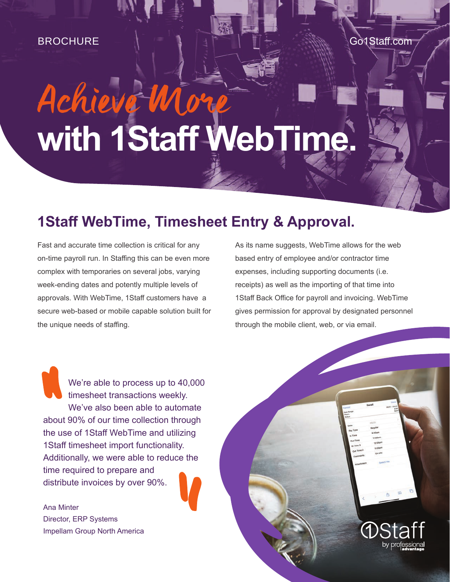#### BROCHURE Go1Staff.com

# Achieve Wi **with 1Staff WebTime.**

## **1Staff WebTime, Timesheet Entry & Approval.**

Fast and accurate time collection is critical for any on-time payroll run. In Staffing this can be even more complex with temporaries on several jobs, varying week-ending dates and potently multiple levels of approvals. With WebTime, 1Staff customers have a secure web-based or mobile capable solution built for the unique needs of staffing.

As its name suggests, WebTime allows for the web based entry of employee and/or contractor time expenses, including supporting documents (i.e. receipts) as well as the importing of that time into 1Staff Back Office for payroll and invoicing. WebTime gives permission for approval by designated personnel through the mobile client, web, or via email.

by

We're able to process up to 40,000 timesheet transactions weekly. We've also been able to automate about 90% of our time collection through the use of 1Staff WebTime and utilizing 1Staff timesheet import functionality. Additionally, we were able to reduce the time required to prepare and distribute invoices by over 90%.

Ana Minter Director, ERP Systems Impellam Group North America